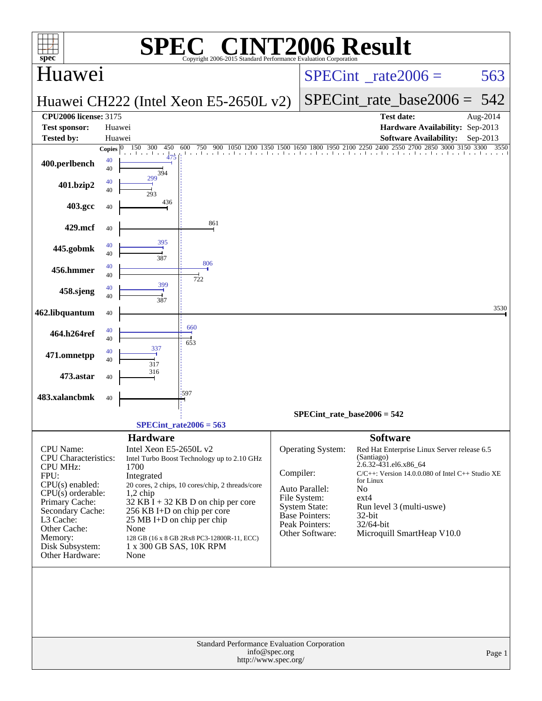| spec <sup>®</sup>                                                                                                                                                         | $\mathbf{P}(\mathbb{R})$                                                                                                                                                                                                                                                             | <b>NT2006 Result</b><br>Copyright 2006-2015 Standard Performance Evaluation Corporation                                                                                                                                                                                                                                                                                                                          |        |
|---------------------------------------------------------------------------------------------------------------------------------------------------------------------------|--------------------------------------------------------------------------------------------------------------------------------------------------------------------------------------------------------------------------------------------------------------------------------------|------------------------------------------------------------------------------------------------------------------------------------------------------------------------------------------------------------------------------------------------------------------------------------------------------------------------------------------------------------------------------------------------------------------|--------|
| Huawei                                                                                                                                                                    |                                                                                                                                                                                                                                                                                      | $SPECint^{\circ}$ rate $2006 =$                                                                                                                                                                                                                                                                                                                                                                                  | 563    |
|                                                                                                                                                                           | Huawei CH222 (Intel Xeon E5-2650L v2)                                                                                                                                                                                                                                                | $SPECint_rate\_base2006 =$                                                                                                                                                                                                                                                                                                                                                                                       | 542    |
| <b>CPU2006 license: 3175</b><br><b>Test sponsor:</b><br><b>Tested by:</b>                                                                                                 | Huawei<br>Huawei                                                                                                                                                                                                                                                                     | <b>Test date:</b><br>Aug-2014<br>Hardware Availability: Sep-2013<br>$Sep-2013$                                                                                                                                                                                                                                                                                                                                   |        |
|                                                                                                                                                                           | 150 300<br>450<br>600<br>750<br>900<br>Copies $ 0 $                                                                                                                                                                                                                                  | <b>Software Availability:</b><br>1350 1500 1650 1800 1950 2100 2250 2400 2550 2700 2850 3000 3150 3300<br>1200                                                                                                                                                                                                                                                                                                   | 3550   |
| 400.perlbench                                                                                                                                                             | and a card for<br>40<br>40<br>394                                                                                                                                                                                                                                                    | 1 a 2 1 a 2 1 a 2 1 a 2 1 a 2 1 a 2 1 a 2 1 a 2 1 a 2 1 a 2 1 a 2 1 a 2 1 a 2 1 a 2 1 a 2 1 a 2 1 a 2 1 a 2 1                                                                                                                                                                                                                                                                                                    |        |
| 401.bzip2                                                                                                                                                                 | 299<br>40<br>40<br>293                                                                                                                                                                                                                                                               |                                                                                                                                                                                                                                                                                                                                                                                                                  |        |
| 403.gcc                                                                                                                                                                   | 436<br>40                                                                                                                                                                                                                                                                            |                                                                                                                                                                                                                                                                                                                                                                                                                  |        |
| 429.mcf                                                                                                                                                                   | 861<br>40                                                                                                                                                                                                                                                                            |                                                                                                                                                                                                                                                                                                                                                                                                                  |        |
| 445.gobmk                                                                                                                                                                 | 395<br>40<br>40<br>387                                                                                                                                                                                                                                                               |                                                                                                                                                                                                                                                                                                                                                                                                                  |        |
| 456.hmmer                                                                                                                                                                 | 806<br>40<br>40<br>722                                                                                                                                                                                                                                                               |                                                                                                                                                                                                                                                                                                                                                                                                                  |        |
| 458.sjeng                                                                                                                                                                 | 399<br>40<br>40<br>387                                                                                                                                                                                                                                                               |                                                                                                                                                                                                                                                                                                                                                                                                                  |        |
| 462.libquantum                                                                                                                                                            | 40                                                                                                                                                                                                                                                                                   |                                                                                                                                                                                                                                                                                                                                                                                                                  | 3530   |
| 464.h264ref                                                                                                                                                               | 660<br>40<br>40<br>653                                                                                                                                                                                                                                                               |                                                                                                                                                                                                                                                                                                                                                                                                                  |        |
| 471.omnetpp                                                                                                                                                               | 337<br>40<br>40<br>317                                                                                                                                                                                                                                                               |                                                                                                                                                                                                                                                                                                                                                                                                                  |        |
| 473.astar                                                                                                                                                                 | 316<br>40                                                                                                                                                                                                                                                                            |                                                                                                                                                                                                                                                                                                                                                                                                                  |        |
| 483.xalancbmk                                                                                                                                                             | :597<br>40                                                                                                                                                                                                                                                                           |                                                                                                                                                                                                                                                                                                                                                                                                                  |        |
|                                                                                                                                                                           | $SPECint_rate2006 = 563$                                                                                                                                                                                                                                                             | SPECint rate base $2006 = 542$                                                                                                                                                                                                                                                                                                                                                                                   |        |
|                                                                                                                                                                           | <b>Hardware</b>                                                                                                                                                                                                                                                                      | <b>Software</b>                                                                                                                                                                                                                                                                                                                                                                                                  |        |
| CPU Name:<br>CPU Characteristics:<br><b>CPU MHz:</b><br>FPU:<br>CPU(s) enabled:<br>$CPU(s)$ orderable:<br>Primary Cache:<br>Secondary Cache:<br>L3 Cache:<br>Other Cache: | Intel Xeon E5-2650L v2<br>Intel Turbo Boost Technology up to 2.10 GHz<br>1700<br>Integrated<br>20 cores, 2 chips, 10 cores/chip, 2 threads/core<br>$1,2$ chip<br>$32$ KB I + 32 KB D on chip per core<br>256 KB I+D on chip per core<br>$25 \text{ MB I+D}$ on chip per chip<br>None | Operating System:<br>Red Hat Enterprise Linux Server release 6.5<br>(Santiago)<br>2.6.32-431.el6.x86_64<br>Compiler:<br>C/C++: Version 14.0.0.080 of Intel C++ Studio XE<br>for Linux<br>Auto Parallel:<br>No<br>File System:<br>$ext{4}$<br><b>System State:</b><br>Run level 3 (multi-uswe)<br>Base Pointers:<br>32-bit<br><b>Peak Pointers:</b><br>32/64-bit<br>Other Software:<br>Microquill SmartHeap V10.0 |        |
| Memory:<br>Disk Subsystem:<br>Other Hardware:                                                                                                                             | 128 GB (16 x 8 GB 2Rx8 PC3-12800R-11, ECC)<br>1 x 300 GB SAS, 10K RPM<br>None                                                                                                                                                                                                        |                                                                                                                                                                                                                                                                                                                                                                                                                  |        |
|                                                                                                                                                                           |                                                                                                                                                                                                                                                                                      |                                                                                                                                                                                                                                                                                                                                                                                                                  |        |
|                                                                                                                                                                           |                                                                                                                                                                                                                                                                                      | Standard Performance Evaluation Corporation<br>info@spec.org<br>http://www.spec.org/                                                                                                                                                                                                                                                                                                                             | Page 1 |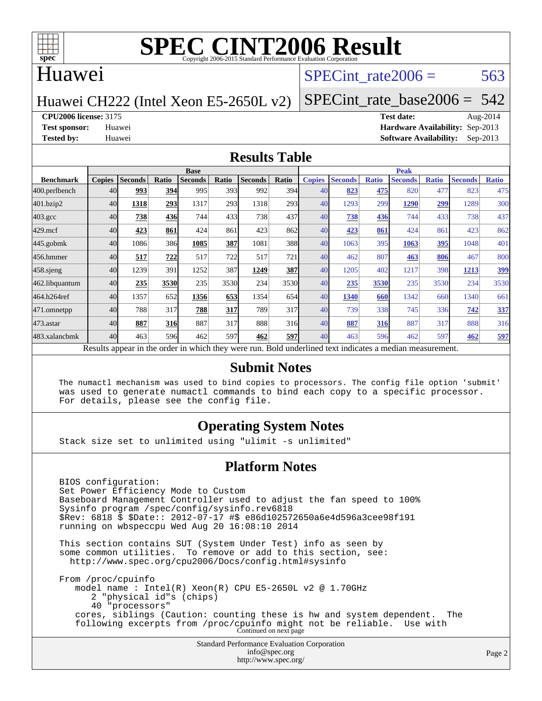

#### Huawei

#### SPECint rate $2006 = 563$

Huawei CH222 (Intel Xeon E5-2650L v2)

[SPECint\\_rate\\_base2006 =](http://www.spec.org/auto/cpu2006/Docs/result-fields.html#SPECintratebase2006)  $542$ 

#### **[CPU2006 license:](http://www.spec.org/auto/cpu2006/Docs/result-fields.html#CPU2006license)** 3175 **[Test date:](http://www.spec.org/auto/cpu2006/Docs/result-fields.html#Testdate)** Aug-2014

**[Test sponsor:](http://www.spec.org/auto/cpu2006/Docs/result-fields.html#Testsponsor)** Huawei **[Hardware Availability:](http://www.spec.org/auto/cpu2006/Docs/result-fields.html#HardwareAvailability)** Sep-2013 **[Tested by:](http://www.spec.org/auto/cpu2006/Docs/result-fields.html#Testedby)** Huawei **[Software Availability:](http://www.spec.org/auto/cpu2006/Docs/result-fields.html#SoftwareAvailability)** Sep-2013

#### **[Results Table](http://www.spec.org/auto/cpu2006/Docs/result-fields.html#ResultsTable)**

|                                                                                                          | <b>Base</b>   |                |       |                |       | <b>Peak</b>    |       |               |                |              |                |              |                |              |
|----------------------------------------------------------------------------------------------------------|---------------|----------------|-------|----------------|-------|----------------|-------|---------------|----------------|--------------|----------------|--------------|----------------|--------------|
| <b>Benchmark</b>                                                                                         | <b>Copies</b> | <b>Seconds</b> | Ratio | <b>Seconds</b> | Ratio | <b>Seconds</b> | Ratio | <b>Copies</b> | <b>Seconds</b> | <b>Ratio</b> | <b>Seconds</b> | <b>Ratio</b> | <b>Seconds</b> | <b>Ratio</b> |
| 400.perlbench                                                                                            | 40            | 993            | 394   | 995            | 393   | 992            | 394   | 40            | 823            | 475          | 820            | 477          | 823            | 475          |
| 401.bzip2                                                                                                | 40            | 1318           | 293   | 1317           | 293   | 1318           | 293   | 40            | 1293           | 299          | 1290           | 299          | 1289           | 300          |
| $403.\mathrm{gcc}$                                                                                       | 40            | 738            | 436   | 744            | 433   | 738            | 437   | 40            | 738            | 436          | 744            | 433          | 738            | 437          |
| $429$ .mcf                                                                                               | 40            | 423            | 861   | 424            | 861   | 423            | 862   | 40            | 423            | 861          | 424            | 861          | 423            | 862          |
| $445$ .gobmk                                                                                             | 40            | 1086           | 386   | 1085           | 387   | 1081           | 388   | 40            | 1063           | 395          | 1063           | 395          | 1048           | 401          |
| 456.hmmer                                                                                                | 40            | 517            | 722   | 517            | 722   | 517            | 721   | 40            | 462            | 807          | 463            | 806          | 467            | 800          |
| $458$ .sjeng                                                                                             | 40            | 1239           | 391   | 1252           | 387   | 1249           | 387   | 40            | 1205           | 402          | 1217           | 398          | 1213           | 399          |
| 462.libquantum                                                                                           | 40            | 235            | 3530  | 235            | 3530  | 234            | 3530  | 40            | 235            | 3530         | 235            | 3530         | 234            | 3530         |
| 464.h264ref                                                                                              | 40            | 1357           | 652   | 1356           | 653   | 1354           | 654   | 40            | 1340           | 660          | 1342           | 660          | 1340           | 661          |
| 471.omnetpp                                                                                              | 40            | 788            | 317   | 788            | 317   | 789            | 317   | 40            | 739            | 338          | 745            | 336          | 742            | 337          |
| 473.astar                                                                                                | 40            | 887            | 316   | 887            | 317   | 888            | 316   | 40            | 887            | 316          | 887            | 317          | 888            | 316          |
| 483.xalancbmk                                                                                            | 40            | 463            | 596   | 462            | 597   | 462            | 597   | 40            | 463            | 596          | 462            | 597          | 462            | 597          |
| Results appear in the order in which they were run. Bold underlined text indicates a median measurement. |               |                |       |                |       |                |       |               |                |              |                |              |                |              |

#### **[Submit Notes](http://www.spec.org/auto/cpu2006/Docs/result-fields.html#SubmitNotes)**

 The numactl mechanism was used to bind copies to processors. The config file option 'submit' was used to generate numactl commands to bind each copy to a specific processor. For details, please see the config file.

#### **[Operating System Notes](http://www.spec.org/auto/cpu2006/Docs/result-fields.html#OperatingSystemNotes)**

Stack size set to unlimited using "ulimit -s unlimited"

#### **[Platform Notes](http://www.spec.org/auto/cpu2006/Docs/result-fields.html#PlatformNotes)**

 BIOS configuration: Set Power Efficiency Mode to Custom Baseboard Management Controller used to adjust the fan speed to 100% Sysinfo program /spec/config/sysinfo.rev6818 \$Rev: 6818 \$ \$Date:: 2012-07-17 #\$ e86d102572650a6e4d596a3cee98f191 running on wbspeccpu Wed Aug 20 16:08:10 2014

 This section contains SUT (System Under Test) info as seen by some common utilities. To remove or add to this section, see: <http://www.spec.org/cpu2006/Docs/config.html#sysinfo>

 From /proc/cpuinfo model name : Intel(R) Xeon(R) CPU E5-2650L v2 @ 1.70GHz 2 "physical id"s (chips) 40 "processors" cores, siblings (Caution: counting these is hw and system dependent. The following excerpts from /proc/cpuinfo might not be reliable. Use with Continued on next page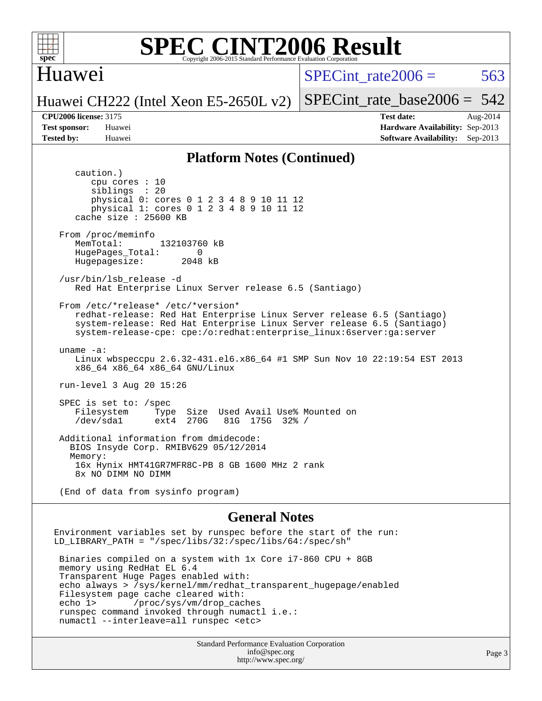

#### Huawei

SPECint rate $2006 = 563$ 

[SPECint\\_rate\\_base2006 =](http://www.spec.org/auto/cpu2006/Docs/result-fields.html#SPECintratebase2006) 542

#### Huawei CH222 (Intel Xeon E5-2650L v2)

**[CPU2006 license:](http://www.spec.org/auto/cpu2006/Docs/result-fields.html#CPU2006license)** 3175 **[Test date:](http://www.spec.org/auto/cpu2006/Docs/result-fields.html#Testdate)** Aug-2014 **[Test sponsor:](http://www.spec.org/auto/cpu2006/Docs/result-fields.html#Testsponsor)** Huawei **[Hardware Availability:](http://www.spec.org/auto/cpu2006/Docs/result-fields.html#HardwareAvailability)** Sep-2013 **[Tested by:](http://www.spec.org/auto/cpu2006/Docs/result-fields.html#Testedby)** Huawei **[Software Availability:](http://www.spec.org/auto/cpu2006/Docs/result-fields.html#SoftwareAvailability)** Sep-2013

#### **[Platform Notes \(Continued\)](http://www.spec.org/auto/cpu2006/Docs/result-fields.html#PlatformNotes)**

 caution.) cpu cores : 10 siblings : 20 physical 0: cores 0 1 2 3 4 8 9 10 11 12 physical 1: cores 0 1 2 3 4 8 9 10 11 12 cache size : 25600 KB From /proc/meminfo MemTotal: 132103760 kB HugePages\_Total: 0<br>Hugepagesize: 2048 kB Hugepagesize: /usr/bin/lsb\_release -d Red Hat Enterprise Linux Server release 6.5 (Santiago) From /etc/\*release\* /etc/\*version\* redhat-release: Red Hat Enterprise Linux Server release 6.5 (Santiago) system-release: Red Hat Enterprise Linux Server release 6.5 (Santiago) system-release-cpe: cpe:/o:redhat:enterprise\_linux:6server:ga:server uname -a: Linux wbspeccpu 2.6.32-431.el6.x86\_64 #1 SMP Sun Nov 10 22:19:54 EST 2013 x86\_64 x86\_64 x86\_64 GNU/Linux run-level 3 Aug 20 15:26 SPEC is set to: /spec Filesystem Type Size Used Avail Use% Mounted on<br>
/dev/sda1 ext4 270G 81G 175G 32% / 81G 175G 32% / Additional information from dmidecode: BIOS Insyde Corp. RMIBV629 05/12/2014 Memory: 16x Hynix HMT41GR7MFR8C-PB 8 GB 1600 MHz 2 rank 8x NO DIMM NO DIMM (End of data from sysinfo program) **[General Notes](http://www.spec.org/auto/cpu2006/Docs/result-fields.html#GeneralNotes)** Environment variables set by runspec before the start of the run: LD\_LIBRARY\_PATH = "/spec/libs/32:/spec/libs/64:/spec/sh"

 Binaries compiled on a system with 1x Core i7-860 CPU + 8GB memory using RedHat EL 6.4 Transparent Huge Pages enabled with: echo always > /sys/kernel/mm/redhat\_transparent\_hugepage/enabled Filesystem page cache cleared with: echo 1> /proc/sys/vm/drop\_caches runspec command invoked through numactl i.e.: numactl --interleave=all runspec <etc>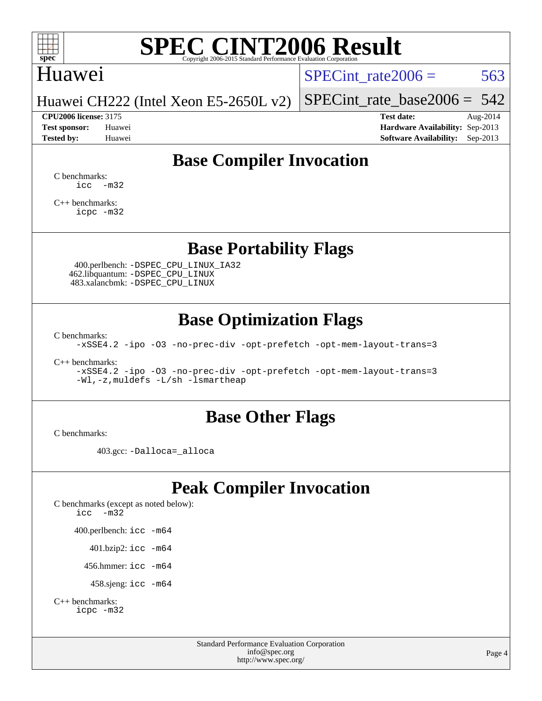

### Huawei

SPECint rate $2006 = 563$ 

Huawei CH222 (Intel Xeon E5-2650L v2)

**[CPU2006 license:](http://www.spec.org/auto/cpu2006/Docs/result-fields.html#CPU2006license)** 3175 **[Test date:](http://www.spec.org/auto/cpu2006/Docs/result-fields.html#Testdate)** Aug-2014

[SPECint\\_rate\\_base2006 =](http://www.spec.org/auto/cpu2006/Docs/result-fields.html#SPECintratebase2006)  $542$ 

**[Test sponsor:](http://www.spec.org/auto/cpu2006/Docs/result-fields.html#Testsponsor)** Huawei **[Hardware Availability:](http://www.spec.org/auto/cpu2006/Docs/result-fields.html#HardwareAvailability)** Sep-2013 **[Tested by:](http://www.spec.org/auto/cpu2006/Docs/result-fields.html#Testedby)** Huawei **[Software Availability:](http://www.spec.org/auto/cpu2006/Docs/result-fields.html#SoftwareAvailability)** Sep-2013

### **[Base Compiler Invocation](http://www.spec.org/auto/cpu2006/Docs/result-fields.html#BaseCompilerInvocation)**

[C benchmarks](http://www.spec.org/auto/cpu2006/Docs/result-fields.html#Cbenchmarks):  $\text{icc}$   $-\text{m32}$ 

[C++ benchmarks:](http://www.spec.org/auto/cpu2006/Docs/result-fields.html#CXXbenchmarks) [icpc -m32](http://www.spec.org/cpu2006/results/res2014q3/cpu2006-20140829-31087.flags.html#user_CXXbase_intel_icpc_4e5a5ef1a53fd332b3c49e69c3330699)

### **[Base Portability Flags](http://www.spec.org/auto/cpu2006/Docs/result-fields.html#BasePortabilityFlags)**

 400.perlbench: [-DSPEC\\_CPU\\_LINUX\\_IA32](http://www.spec.org/cpu2006/results/res2014q3/cpu2006-20140829-31087.flags.html#b400.perlbench_baseCPORTABILITY_DSPEC_CPU_LINUX_IA32) 462.libquantum: [-DSPEC\\_CPU\\_LINUX](http://www.spec.org/cpu2006/results/res2014q3/cpu2006-20140829-31087.flags.html#b462.libquantum_baseCPORTABILITY_DSPEC_CPU_LINUX) 483.xalancbmk: [-DSPEC\\_CPU\\_LINUX](http://www.spec.org/cpu2006/results/res2014q3/cpu2006-20140829-31087.flags.html#b483.xalancbmk_baseCXXPORTABILITY_DSPEC_CPU_LINUX)

### **[Base Optimization Flags](http://www.spec.org/auto/cpu2006/Docs/result-fields.html#BaseOptimizationFlags)**

[C benchmarks](http://www.spec.org/auto/cpu2006/Docs/result-fields.html#Cbenchmarks):

[-xSSE4.2](http://www.spec.org/cpu2006/results/res2014q3/cpu2006-20140829-31087.flags.html#user_CCbase_f-xSSE42_f91528193cf0b216347adb8b939d4107) [-ipo](http://www.spec.org/cpu2006/results/res2014q3/cpu2006-20140829-31087.flags.html#user_CCbase_f-ipo) [-O3](http://www.spec.org/cpu2006/results/res2014q3/cpu2006-20140829-31087.flags.html#user_CCbase_f-O3) [-no-prec-div](http://www.spec.org/cpu2006/results/res2014q3/cpu2006-20140829-31087.flags.html#user_CCbase_f-no-prec-div) [-opt-prefetch](http://www.spec.org/cpu2006/results/res2014q3/cpu2006-20140829-31087.flags.html#user_CCbase_f-opt-prefetch) [-opt-mem-layout-trans=3](http://www.spec.org/cpu2006/results/res2014q3/cpu2006-20140829-31087.flags.html#user_CCbase_f-opt-mem-layout-trans_a7b82ad4bd7abf52556d4961a2ae94d5)

[C++ benchmarks:](http://www.spec.org/auto/cpu2006/Docs/result-fields.html#CXXbenchmarks)

[-xSSE4.2](http://www.spec.org/cpu2006/results/res2014q3/cpu2006-20140829-31087.flags.html#user_CXXbase_f-xSSE42_f91528193cf0b216347adb8b939d4107) [-ipo](http://www.spec.org/cpu2006/results/res2014q3/cpu2006-20140829-31087.flags.html#user_CXXbase_f-ipo) [-O3](http://www.spec.org/cpu2006/results/res2014q3/cpu2006-20140829-31087.flags.html#user_CXXbase_f-O3) [-no-prec-div](http://www.spec.org/cpu2006/results/res2014q3/cpu2006-20140829-31087.flags.html#user_CXXbase_f-no-prec-div) [-opt-prefetch](http://www.spec.org/cpu2006/results/res2014q3/cpu2006-20140829-31087.flags.html#user_CXXbase_f-opt-prefetch) [-opt-mem-layout-trans=3](http://www.spec.org/cpu2006/results/res2014q3/cpu2006-20140829-31087.flags.html#user_CXXbase_f-opt-mem-layout-trans_a7b82ad4bd7abf52556d4961a2ae94d5) [-Wl,-z,muldefs](http://www.spec.org/cpu2006/results/res2014q3/cpu2006-20140829-31087.flags.html#user_CXXbase_link_force_multiple1_74079c344b956b9658436fd1b6dd3a8a) [-L/sh -lsmartheap](http://www.spec.org/cpu2006/results/res2014q3/cpu2006-20140829-31087.flags.html#user_CXXbase_SmartHeap_32f6c82aa1ed9c52345d30cf6e4a0499)

#### **[Base Other Flags](http://www.spec.org/auto/cpu2006/Docs/result-fields.html#BaseOtherFlags)**

[C benchmarks](http://www.spec.org/auto/cpu2006/Docs/result-fields.html#Cbenchmarks):

403.gcc: [-Dalloca=\\_alloca](http://www.spec.org/cpu2006/results/res2014q3/cpu2006-20140829-31087.flags.html#b403.gcc_baseEXTRA_CFLAGS_Dalloca_be3056838c12de2578596ca5467af7f3)

### **[Peak Compiler Invocation](http://www.spec.org/auto/cpu2006/Docs/result-fields.html#PeakCompilerInvocation)**

[C benchmarks \(except as noted below\)](http://www.spec.org/auto/cpu2006/Docs/result-fields.html#Cbenchmarksexceptasnotedbelow): [icc -m32](http://www.spec.org/cpu2006/results/res2014q3/cpu2006-20140829-31087.flags.html#user_CCpeak_intel_icc_5ff4a39e364c98233615fdd38438c6f2) 400.perlbench: [icc -m64](http://www.spec.org/cpu2006/results/res2014q3/cpu2006-20140829-31087.flags.html#user_peakCCLD400_perlbench_intel_icc_64bit_bda6cc9af1fdbb0edc3795bac97ada53) 401.bzip2: [icc -m64](http://www.spec.org/cpu2006/results/res2014q3/cpu2006-20140829-31087.flags.html#user_peakCCLD401_bzip2_intel_icc_64bit_bda6cc9af1fdbb0edc3795bac97ada53)

456.hmmer: [icc -m64](http://www.spec.org/cpu2006/results/res2014q3/cpu2006-20140829-31087.flags.html#user_peakCCLD456_hmmer_intel_icc_64bit_bda6cc9af1fdbb0edc3795bac97ada53)

458.sjeng: [icc -m64](http://www.spec.org/cpu2006/results/res2014q3/cpu2006-20140829-31087.flags.html#user_peakCCLD458_sjeng_intel_icc_64bit_bda6cc9af1fdbb0edc3795bac97ada53)

```
C++ benchmarks: 
    icpc -m32
```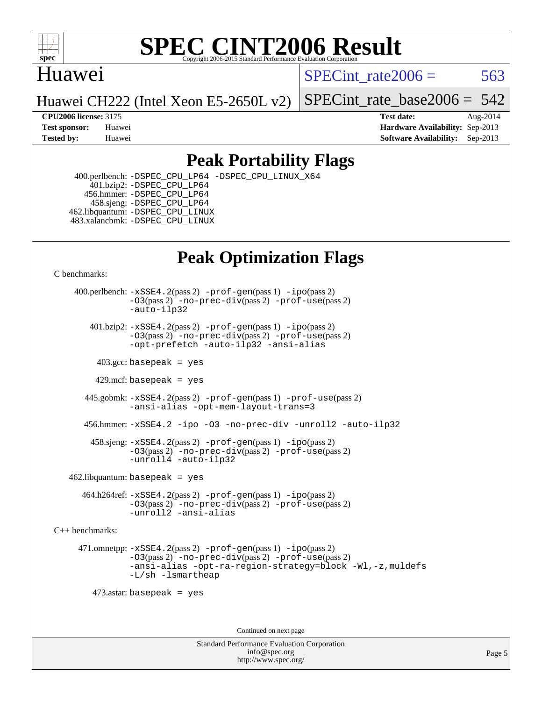

#### Huawei

SPECint rate $2006 = 563$ 

Huawei CH222 (Intel Xeon E5-2650L v2)

[SPECint\\_rate\\_base2006 =](http://www.spec.org/auto/cpu2006/Docs/result-fields.html#SPECintratebase2006) 542

**[CPU2006 license:](http://www.spec.org/auto/cpu2006/Docs/result-fields.html#CPU2006license)** 3175 **[Test date:](http://www.spec.org/auto/cpu2006/Docs/result-fields.html#Testdate)** Aug-2014 **[Test sponsor:](http://www.spec.org/auto/cpu2006/Docs/result-fields.html#Testsponsor)** Huawei **[Hardware Availability:](http://www.spec.org/auto/cpu2006/Docs/result-fields.html#HardwareAvailability)** Sep-2013 **[Tested by:](http://www.spec.org/auto/cpu2006/Docs/result-fields.html#Testedby)** Huawei **[Software Availability:](http://www.spec.org/auto/cpu2006/Docs/result-fields.html#SoftwareAvailability)** Sep-2013

### **[Peak Portability Flags](http://www.spec.org/auto/cpu2006/Docs/result-fields.html#PeakPortabilityFlags)**

 400.perlbench: [-DSPEC\\_CPU\\_LP64](http://www.spec.org/cpu2006/results/res2014q3/cpu2006-20140829-31087.flags.html#b400.perlbench_peakCPORTABILITY_DSPEC_CPU_LP64) [-DSPEC\\_CPU\\_LINUX\\_X64](http://www.spec.org/cpu2006/results/res2014q3/cpu2006-20140829-31087.flags.html#b400.perlbench_peakCPORTABILITY_DSPEC_CPU_LINUX_X64) 401.bzip2: [-DSPEC\\_CPU\\_LP64](http://www.spec.org/cpu2006/results/res2014q3/cpu2006-20140829-31087.flags.html#suite_peakCPORTABILITY401_bzip2_DSPEC_CPU_LP64) 456.hmmer: [-DSPEC\\_CPU\\_LP64](http://www.spec.org/cpu2006/results/res2014q3/cpu2006-20140829-31087.flags.html#suite_peakCPORTABILITY456_hmmer_DSPEC_CPU_LP64) 458.sjeng: [-DSPEC\\_CPU\\_LP64](http://www.spec.org/cpu2006/results/res2014q3/cpu2006-20140829-31087.flags.html#suite_peakCPORTABILITY458_sjeng_DSPEC_CPU_LP64) 462.libquantum: [-DSPEC\\_CPU\\_LINUX](http://www.spec.org/cpu2006/results/res2014q3/cpu2006-20140829-31087.flags.html#b462.libquantum_peakCPORTABILITY_DSPEC_CPU_LINUX) 483.xalancbmk: [-DSPEC\\_CPU\\_LINUX](http://www.spec.org/cpu2006/results/res2014q3/cpu2006-20140829-31087.flags.html#b483.xalancbmk_peakCXXPORTABILITY_DSPEC_CPU_LINUX)

# **[Peak Optimization Flags](http://www.spec.org/auto/cpu2006/Docs/result-fields.html#PeakOptimizationFlags)**

[C benchmarks](http://www.spec.org/auto/cpu2006/Docs/result-fields.html#Cbenchmarks):

 400.perlbench: [-xSSE4.2](http://www.spec.org/cpu2006/results/res2014q3/cpu2006-20140829-31087.flags.html#user_peakPASS2_CFLAGSPASS2_LDCFLAGS400_perlbench_f-xSSE42_f91528193cf0b216347adb8b939d4107)(pass 2) [-prof-gen](http://www.spec.org/cpu2006/results/res2014q3/cpu2006-20140829-31087.flags.html#user_peakPASS1_CFLAGSPASS1_LDCFLAGS400_perlbench_prof_gen_e43856698f6ca7b7e442dfd80e94a8fc)(pass 1) [-ipo](http://www.spec.org/cpu2006/results/res2014q3/cpu2006-20140829-31087.flags.html#user_peakPASS2_CFLAGSPASS2_LDCFLAGS400_perlbench_f-ipo)(pass 2) [-O3](http://www.spec.org/cpu2006/results/res2014q3/cpu2006-20140829-31087.flags.html#user_peakPASS2_CFLAGSPASS2_LDCFLAGS400_perlbench_f-O3)(pass 2) [-no-prec-div](http://www.spec.org/cpu2006/results/res2014q3/cpu2006-20140829-31087.flags.html#user_peakPASS2_CFLAGSPASS2_LDCFLAGS400_perlbench_f-no-prec-div)(pass 2) [-prof-use](http://www.spec.org/cpu2006/results/res2014q3/cpu2006-20140829-31087.flags.html#user_peakPASS2_CFLAGSPASS2_LDCFLAGS400_perlbench_prof_use_bccf7792157ff70d64e32fe3e1250b55)(pass 2) [-auto-ilp32](http://www.spec.org/cpu2006/results/res2014q3/cpu2006-20140829-31087.flags.html#user_peakCOPTIMIZE400_perlbench_f-auto-ilp32)  $401.bzip2: -xSSE4.2(pass 2) -prof-qen(pass 1) -ipo(pass 2)$  $401.bzip2: -xSSE4.2(pass 2) -prof-qen(pass 1) -ipo(pass 2)$  $401.bzip2: -xSSE4.2(pass 2) -prof-qen(pass 1) -ipo(pass 2)$  $401.bzip2: -xSSE4.2(pass 2) -prof-qen(pass 1) -ipo(pass 2)$  $401.bzip2: -xSSE4.2(pass 2) -prof-qen(pass 1) -ipo(pass 2)$ [-O3](http://www.spec.org/cpu2006/results/res2014q3/cpu2006-20140829-31087.flags.html#user_peakPASS2_CFLAGSPASS2_LDCFLAGS401_bzip2_f-O3)(pass 2) [-no-prec-div](http://www.spec.org/cpu2006/results/res2014q3/cpu2006-20140829-31087.flags.html#user_peakPASS2_CFLAGSPASS2_LDCFLAGS401_bzip2_f-no-prec-div)(pass 2) [-prof-use](http://www.spec.org/cpu2006/results/res2014q3/cpu2006-20140829-31087.flags.html#user_peakPASS2_CFLAGSPASS2_LDCFLAGS401_bzip2_prof_use_bccf7792157ff70d64e32fe3e1250b55)(pass 2) [-opt-prefetch](http://www.spec.org/cpu2006/results/res2014q3/cpu2006-20140829-31087.flags.html#user_peakCOPTIMIZE401_bzip2_f-opt-prefetch) [-auto-ilp32](http://www.spec.org/cpu2006/results/res2014q3/cpu2006-20140829-31087.flags.html#user_peakCOPTIMIZE401_bzip2_f-auto-ilp32) [-ansi-alias](http://www.spec.org/cpu2006/results/res2014q3/cpu2006-20140829-31087.flags.html#user_peakCOPTIMIZE401_bzip2_f-ansi-alias)  $403.\text{sec: basepeak}$  = yes 429.mcf: basepeak = yes 445.gobmk: [-xSSE4.2](http://www.spec.org/cpu2006/results/res2014q3/cpu2006-20140829-31087.flags.html#user_peakPASS2_CFLAGSPASS2_LDCFLAGS445_gobmk_f-xSSE42_f91528193cf0b216347adb8b939d4107)(pass 2) [-prof-gen](http://www.spec.org/cpu2006/results/res2014q3/cpu2006-20140829-31087.flags.html#user_peakPASS1_CFLAGSPASS1_LDCFLAGS445_gobmk_prof_gen_e43856698f6ca7b7e442dfd80e94a8fc)(pass 1) [-prof-use](http://www.spec.org/cpu2006/results/res2014q3/cpu2006-20140829-31087.flags.html#user_peakPASS2_CFLAGSPASS2_LDCFLAGS445_gobmk_prof_use_bccf7792157ff70d64e32fe3e1250b55)(pass 2) [-ansi-alias](http://www.spec.org/cpu2006/results/res2014q3/cpu2006-20140829-31087.flags.html#user_peakCOPTIMIZE445_gobmk_f-ansi-alias) [-opt-mem-layout-trans=3](http://www.spec.org/cpu2006/results/res2014q3/cpu2006-20140829-31087.flags.html#user_peakCOPTIMIZE445_gobmk_f-opt-mem-layout-trans_a7b82ad4bd7abf52556d4961a2ae94d5) 456.hmmer: [-xSSE4.2](http://www.spec.org/cpu2006/results/res2014q3/cpu2006-20140829-31087.flags.html#user_peakCOPTIMIZE456_hmmer_f-xSSE42_f91528193cf0b216347adb8b939d4107) [-ipo](http://www.spec.org/cpu2006/results/res2014q3/cpu2006-20140829-31087.flags.html#user_peakCOPTIMIZE456_hmmer_f-ipo) [-O3](http://www.spec.org/cpu2006/results/res2014q3/cpu2006-20140829-31087.flags.html#user_peakCOPTIMIZE456_hmmer_f-O3) [-no-prec-div](http://www.spec.org/cpu2006/results/res2014q3/cpu2006-20140829-31087.flags.html#user_peakCOPTIMIZE456_hmmer_f-no-prec-div) [-unroll2](http://www.spec.org/cpu2006/results/res2014q3/cpu2006-20140829-31087.flags.html#user_peakCOPTIMIZE456_hmmer_f-unroll_784dae83bebfb236979b41d2422d7ec2) [-auto-ilp32](http://www.spec.org/cpu2006/results/res2014q3/cpu2006-20140829-31087.flags.html#user_peakCOPTIMIZE456_hmmer_f-auto-ilp32) 458.sjeng: [-xSSE4.2](http://www.spec.org/cpu2006/results/res2014q3/cpu2006-20140829-31087.flags.html#user_peakPASS2_CFLAGSPASS2_LDCFLAGS458_sjeng_f-xSSE42_f91528193cf0b216347adb8b939d4107)(pass 2) [-prof-gen](http://www.spec.org/cpu2006/results/res2014q3/cpu2006-20140829-31087.flags.html#user_peakPASS1_CFLAGSPASS1_LDCFLAGS458_sjeng_prof_gen_e43856698f6ca7b7e442dfd80e94a8fc)(pass 1) [-ipo](http://www.spec.org/cpu2006/results/res2014q3/cpu2006-20140829-31087.flags.html#user_peakPASS2_CFLAGSPASS2_LDCFLAGS458_sjeng_f-ipo)(pass 2) [-O3](http://www.spec.org/cpu2006/results/res2014q3/cpu2006-20140829-31087.flags.html#user_peakPASS2_CFLAGSPASS2_LDCFLAGS458_sjeng_f-O3)(pass 2) [-no-prec-div](http://www.spec.org/cpu2006/results/res2014q3/cpu2006-20140829-31087.flags.html#user_peakPASS2_CFLAGSPASS2_LDCFLAGS458_sjeng_f-no-prec-div)(pass 2) [-prof-use](http://www.spec.org/cpu2006/results/res2014q3/cpu2006-20140829-31087.flags.html#user_peakPASS2_CFLAGSPASS2_LDCFLAGS458_sjeng_prof_use_bccf7792157ff70d64e32fe3e1250b55)(pass 2) [-unroll4](http://www.spec.org/cpu2006/results/res2014q3/cpu2006-20140829-31087.flags.html#user_peakCOPTIMIZE458_sjeng_f-unroll_4e5e4ed65b7fd20bdcd365bec371b81f) [-auto-ilp32](http://www.spec.org/cpu2006/results/res2014q3/cpu2006-20140829-31087.flags.html#user_peakCOPTIMIZE458_sjeng_f-auto-ilp32)  $462$ .libquantum: basepeak = yes 464.h264ref: [-xSSE4.2](http://www.spec.org/cpu2006/results/res2014q3/cpu2006-20140829-31087.flags.html#user_peakPASS2_CFLAGSPASS2_LDCFLAGS464_h264ref_f-xSSE42_f91528193cf0b216347adb8b939d4107)(pass 2) [-prof-gen](http://www.spec.org/cpu2006/results/res2014q3/cpu2006-20140829-31087.flags.html#user_peakPASS1_CFLAGSPASS1_LDCFLAGS464_h264ref_prof_gen_e43856698f6ca7b7e442dfd80e94a8fc)(pass 1) [-ipo](http://www.spec.org/cpu2006/results/res2014q3/cpu2006-20140829-31087.flags.html#user_peakPASS2_CFLAGSPASS2_LDCFLAGS464_h264ref_f-ipo)(pass 2)

[-O3](http://www.spec.org/cpu2006/results/res2014q3/cpu2006-20140829-31087.flags.html#user_peakPASS2_CFLAGSPASS2_LDCFLAGS464_h264ref_f-O3)(pass 2) [-no-prec-div](http://www.spec.org/cpu2006/results/res2014q3/cpu2006-20140829-31087.flags.html#user_peakPASS2_CFLAGSPASS2_LDCFLAGS464_h264ref_f-no-prec-div)(pass 2) [-prof-use](http://www.spec.org/cpu2006/results/res2014q3/cpu2006-20140829-31087.flags.html#user_peakPASS2_CFLAGSPASS2_LDCFLAGS464_h264ref_prof_use_bccf7792157ff70d64e32fe3e1250b55)(pass 2) [-unroll2](http://www.spec.org/cpu2006/results/res2014q3/cpu2006-20140829-31087.flags.html#user_peakCOPTIMIZE464_h264ref_f-unroll_784dae83bebfb236979b41d2422d7ec2) [-ansi-alias](http://www.spec.org/cpu2006/results/res2014q3/cpu2006-20140829-31087.flags.html#user_peakCOPTIMIZE464_h264ref_f-ansi-alias)

[C++ benchmarks:](http://www.spec.org/auto/cpu2006/Docs/result-fields.html#CXXbenchmarks)

 471.omnetpp: [-xSSE4.2](http://www.spec.org/cpu2006/results/res2014q3/cpu2006-20140829-31087.flags.html#user_peakPASS2_CXXFLAGSPASS2_LDCXXFLAGS471_omnetpp_f-xSSE42_f91528193cf0b216347adb8b939d4107)(pass 2) [-prof-gen](http://www.spec.org/cpu2006/results/res2014q3/cpu2006-20140829-31087.flags.html#user_peakPASS1_CXXFLAGSPASS1_LDCXXFLAGS471_omnetpp_prof_gen_e43856698f6ca7b7e442dfd80e94a8fc)(pass 1) [-ipo](http://www.spec.org/cpu2006/results/res2014q3/cpu2006-20140829-31087.flags.html#user_peakPASS2_CXXFLAGSPASS2_LDCXXFLAGS471_omnetpp_f-ipo)(pass 2) [-O3](http://www.spec.org/cpu2006/results/res2014q3/cpu2006-20140829-31087.flags.html#user_peakPASS2_CXXFLAGSPASS2_LDCXXFLAGS471_omnetpp_f-O3)(pass 2) [-no-prec-div](http://www.spec.org/cpu2006/results/res2014q3/cpu2006-20140829-31087.flags.html#user_peakPASS2_CXXFLAGSPASS2_LDCXXFLAGS471_omnetpp_f-no-prec-div)(pass 2) [-prof-use](http://www.spec.org/cpu2006/results/res2014q3/cpu2006-20140829-31087.flags.html#user_peakPASS2_CXXFLAGSPASS2_LDCXXFLAGS471_omnetpp_prof_use_bccf7792157ff70d64e32fe3e1250b55)(pass 2) [-ansi-alias](http://www.spec.org/cpu2006/results/res2014q3/cpu2006-20140829-31087.flags.html#user_peakCXXOPTIMIZE471_omnetpp_f-ansi-alias) [-opt-ra-region-strategy=block](http://www.spec.org/cpu2006/results/res2014q3/cpu2006-20140829-31087.flags.html#user_peakCXXOPTIMIZE471_omnetpp_f-opt-ra-region-strategy_a0a37c372d03933b2a18d4af463c1f69) [-Wl,-z,muldefs](http://www.spec.org/cpu2006/results/res2014q3/cpu2006-20140829-31087.flags.html#user_peakEXTRA_LDFLAGS471_omnetpp_link_force_multiple1_74079c344b956b9658436fd1b6dd3a8a) [-L/sh -lsmartheap](http://www.spec.org/cpu2006/results/res2014q3/cpu2006-20140829-31087.flags.html#user_peakEXTRA_LIBS471_omnetpp_SmartHeap_32f6c82aa1ed9c52345d30cf6e4a0499)

473.astar: basepeak = yes

Continued on next page